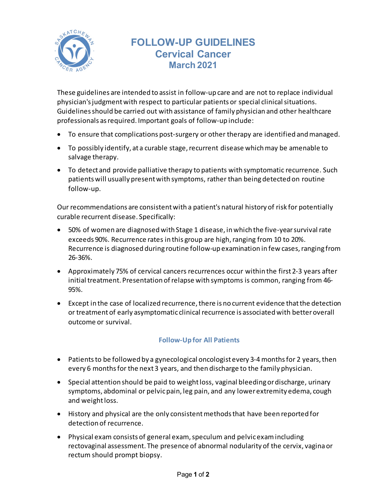

## **FOLLOW-UP GUIDELINES Cervical Cancer March 2021**

These guidelines are intended to assist in follow-up care and are not to replace individual physician's judgment with respect to particular patients or special clinical situations. Guidelines should be carried out with assistance of family physician and other healthcare professionals as required. Important goals of follow-up include:

- To ensure that complications post-surgery or other therapy are identified and managed.
- To possibly identify, at a curable stage, recurrent disease which may be amenable to salvage therapy.
- To detect and provide palliative therapy to patients with symptomatic recurrence. Such patients will usually present with symptoms, rather than being detected on routine follow-up.

Our recommendations are consistent with a patient's natural history of risk for potentially curable recurrent disease. Specifically:

- 50% of women are diagnosed with Stage 1 disease, in which the five-year survival rate exceeds 90%. Recurrence rates in this group are high, ranging from 10 to 20%. Recurrence is diagnosed during routine follow-up examination in few cases, ranging from 26-36%.
- Approximately 75% of cervical cancers recurrences occur within the first 2-3 years after initial treatment. Presentation of relapse with symptoms is common, ranging from 46- 95%.
- Except in the case of localized recurrence, there is no current evidence that the detection or treatment of early asymptomatic clinical recurrence is associated with betteroverall outcome or survival.

## **Follow-Up for All Patients**

- Patients to be followed by a gynecological oncologist every 3-4 months for 2 years, then every 6 months for the next 3 years, and then discharge to the family physician.
- Special attention should be paid to weight loss, vaginal bleeding or discharge, urinary symptoms, abdominal or pelvicpain, leg pain, and any lower extremity edema, cough and weight loss.
- History and physical are the only consistent methods that have been reported for detection of recurrence.
- Physical exam consists of general exam, speculum and pelvic examincluding rectovaginal assessment. The presence of abnormal nodularity of the cervix, vagina or rectum should prompt biopsy.